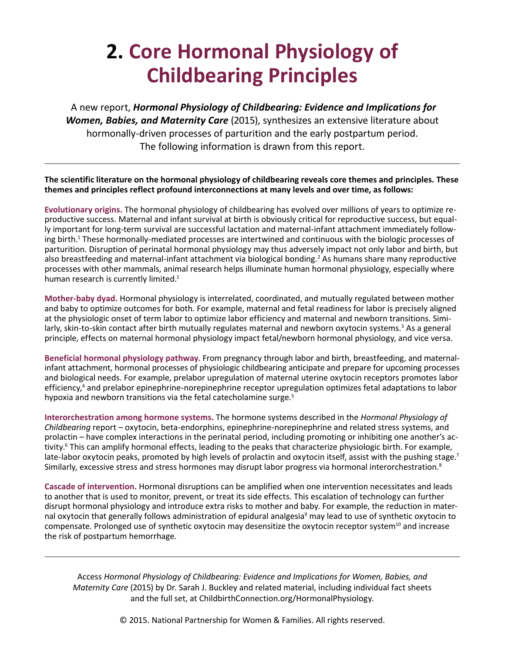## **2. Core Hormonal Physiology of Childbearing Principles**

A new report, *Hormonal Physiology of Childbearing: Evidence and Implications for Women, Babies, and Maternity Care* (2015), synthesizes an extensive literature about hormonally-driven processes of parturition and the early postpartum period. The following information is drawn from this report.

**The scientific literature on the hormonal physiology of childbearing reveals core themes and principles. These themes and principles reflect profound interconnections at many levels and over time, as follows:**

**Evolutionary origins.** The hormonal physiology of childbearing has evolved over millions of years to optimize reproductive success. Maternal and infant survival at birth is obviously critical for reproductive success, but equally important for long-term survival are successful lactation and maternal-infant attachment immediately following birth.<sup>1</sup> These hormonally-mediated processes are intertwined and continuous with the biologic processes of parturition. Disruption of perinatal hormonal physiology may thus adversely impact not only labor and birth, but also breastfeeding and maternal-infant attachment via biological bonding.<sup>2</sup> As humans share many reproductive processes with other mammals, animal research helps illuminate human hormonal physiology, especially where human research is currently limited.<sup>1</sup>

**Mother-baby dyad.** Hormonal physiology is interrelated, coordinated, and mutually regulated between mother and baby to optimize outcomes for both. For example, maternal and fetal readiness for labor is precisely aligned at the physiologic onset of term labor to optimize labor efficiency and maternal and newborn transitions. Similarly, skin-to-skin contact after birth mutually regulates maternal and newborn oxytocin systems.<sup>3</sup> As a general principle, effects on maternal hormonal physiology impact fetal/newborn hormonal physiology, and vice versa.

**Beneficial hormonal physiology pathway.** From pregnancy through labor and birth, breastfeeding, and maternalinfant attachment, hormonal processes of physiologic childbearing anticipate and prepare for upcoming processes and biological needs. For example, prelabor upregulation of maternal uterine oxytocin receptors promotes labor efficiency,<sup>4</sup> and prelabor epinephrine-norepinephrine receptor upregulation optimizes fetal adaptations to labor hypoxia and newborn transitions via the fetal catecholamine surge.<sup>5</sup>

**Interorchestration among hormone systems.** The hormone systems described in the *Hormonal Physiology of Childbearing* report – oxytocin, beta-endorphins, epinephrine-norepinephrine and related stress systems, and prolactin – have complex interactions in the perinatal period, including promoting or inhibiting one another's activity.<sup>6</sup> This can amplify hormonal effects, leading to the peaks that characterize physiologic birth. For example, late-labor oxytocin peaks, promoted by high levels of prolactin and oxytocin itself, assist with the pushing stage.<sup>7</sup> Similarly, excessive stress and stress hormones may disrupt labor progress via hormonal interorchestration.<sup>8</sup>

**Cascade of intervention.** Hormonal disruptions can be amplified when one intervention necessitates and leads to another that is used to monitor, prevent, or treat its side effects. This escalation of technology can further disrupt hormonal physiology and introduce extra risks to mother and baby. For example, the reduction in maternal oxytocin that generally follows administration of epidural analgesia<sup>9</sup> may lead to use of synthetic oxytocin to compensate. Prolonged use of synthetic oxytocin may desensitize the oxytocin receptor system<sup>10</sup> and increase the risk of postpartum hemorrhage.

Access *Hormonal Physiology of Childbearing: Evidence and Implications for Women, Babies, and Maternity Care* (2015) by Dr. Sarah J. Buckley and related material, including individual fact sheets and the full set, at [ChildbirthConnection.org/HormonalPhysiology.](http://www.ChildbirthConnection.org/HormonalPhysiology)

© 2015. National Partnership for Women & Families. All rights reserved.